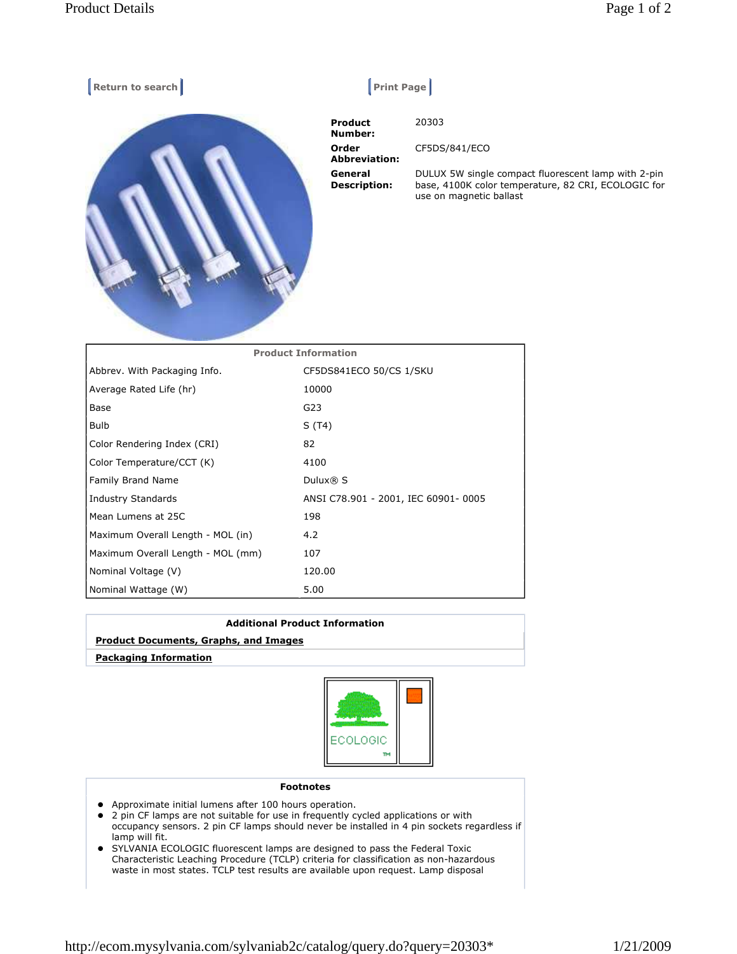

| FIVUULL IIIIVIIIIALIVII           |                                     |
|-----------------------------------|-------------------------------------|
| Abbrev. With Packaging Info.      | CF5DS841ECO 50/CS 1/SKU             |
| Average Rated Life (hr)           | 10000                               |
| Base                              | G23                                 |
| <b>Bulb</b>                       | S (T4)                              |
| Color Rendering Index (CRI)       | 82                                  |
| Color Temperature/CCT (K)         | 4100                                |
| Family Brand Name                 | Dulux® S                            |
| Industry Standards                | ANSI C78.901 - 2001, IEC 60901-0005 |
| Mean Lumens at 25C                | 198                                 |
| Maximum Overall Length - MOL (in) | 4.2                                 |
| Maximum Overall Length - MOL (mm) | 107                                 |
| Nominal Voltage (V)               | 120.00                              |
| Nominal Wattage (W)               | 5.00                                |
|                                   |                                     |

| <b>Additional Product Information</b>        |  |
|----------------------------------------------|--|
| <b>Product Documents, Graphs, and Images</b> |  |
| <b>Packaging Information</b>                 |  |



## Footnotes

- Approximate initial lumens after 100 hours operation.
- 2 pin CF lamps are not suitable for use in frequently cycled applications or with occupancy sensors. 2 pin CF lamps should never be installed in 4 pin sockets regardless if lamp will fit.
- SYLVANIA ECOLOGIC fluorescent lamps are designed to pass the Federal Toxic Characteristic Leaching Procedure (TCLP) criteria for classification as non-hazardous waste in most states. TCLP test results are available upon request. Lamp disposal